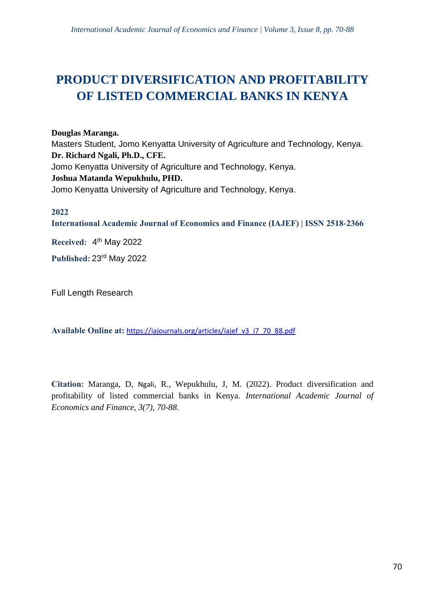# **PRODUCT DIVERSIFICATION AND PROFITABILITY OF LISTED COMMERCIAL BANKS IN KENYA**

**Douglas Maranga.**

Masters Student, Jomo Kenyatta University of Agriculture and Technology, Kenya. **Dr. Richard Ngali, Ph.D., CFE.** Jomo Kenyatta University of Agriculture and Technology, Kenya. **Joshua Matanda Wepukhulu, PHD.** Jomo Kenyatta University of Agriculture and Technology, Kenya.

# **2022**

**International Academic Journal of Economics and Finance (IAJEF) | ISSN 2518-2366**

**Received:** 4 th May 2022

**Published:** 23rd May 2022

Full Length Research

**Available Online at:** [https://iajournals.org/articles/iajef\\_v3\\_i7\\_70\\_88.pdf](https://iajournals.org/articles/iajef_v3_i7_70_88.pdf)

**Citation:** Maranga, D, Ngali, R., Wepukhulu, J, M. (2022). Product diversification and profitability of listed commercial banks in Kenya. *International Academic Journal of Economics and Finance, 3(7), 70-88.*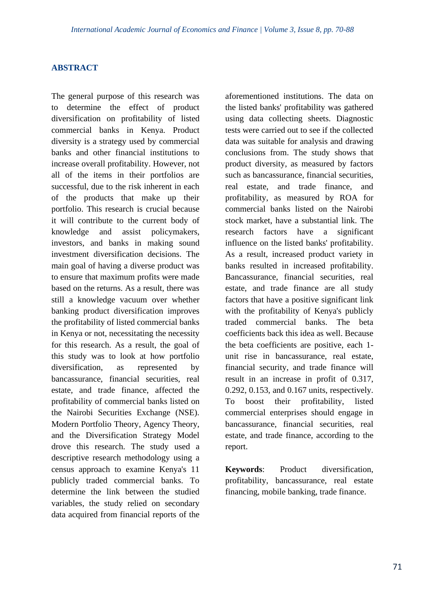## **ABSTRACT**

The general purpose of this research was to determine the effect of product diversification on profitability of listed commercial banks in Kenya. Product diversity is a strategy used by commercial banks and other financial institutions to increase overall profitability. However, not all of the items in their portfolios are successful, due to the risk inherent in each of the products that make up their portfolio. This research is crucial because it will contribute to the current body of knowledge and assist policymakers, investors, and banks in making sound investment diversification decisions. The main goal of having a diverse product was to ensure that maximum profits were made based on the returns. As a result, there was still a knowledge vacuum over whether banking product diversification improves the profitability of listed commercial banks in Kenya or not, necessitating the necessity for this research. As a result, the goal of this study was to look at how portfolio diversification, as represented by bancassurance, financial securities, real estate, and trade finance, affected the profitability of commercial banks listed on the Nairobi Securities Exchange (NSE). Modern Portfolio Theory, Agency Theory, and the Diversification Strategy Model drove this research. The study used a descriptive research methodology using a census approach to examine Kenya's 11 publicly traded commercial banks. To determine the link between the studied variables, the study relied on secondary data acquired from financial reports of the

aforementioned institutions. The data on the listed banks' profitability was gathered using data collecting sheets. Diagnostic tests were carried out to see if the collected data was suitable for analysis and drawing conclusions from. The study shows that product diversity, as measured by factors such as bancassurance, financial securities, real estate, and trade finance, and profitability, as measured by ROA for commercial banks listed on the Nairobi stock market, have a substantial link. The research factors have a significant influence on the listed banks' profitability. As a result, increased product variety in banks resulted in increased profitability. Bancassurance, financial securities, real estate, and trade finance are all study factors that have a positive significant link with the profitability of Kenya's publicly traded commercial banks. The beta coefficients back this idea as well. Because the beta coefficients are positive, each 1 unit rise in bancassurance, real estate, financial security, and trade finance will result in an increase in profit of 0.317, 0.292, 0.153, and 0.167 units, respectively. To boost their profitability, listed commercial enterprises should engage in bancassurance, financial securities, real estate, and trade finance, according to the report.

**Keywords**: Product diversification, profitability, bancassurance, real estate financing, mobile banking, trade finance.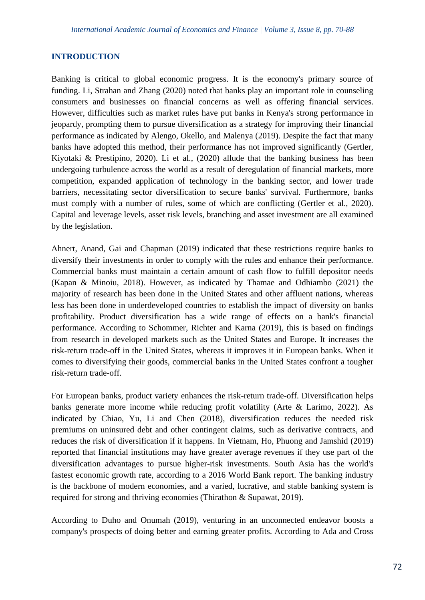## **INTRODUCTION**

Banking is critical to global economic progress. It is the economy's primary source of funding. Li, Strahan and Zhang (2020) noted that banks play an important role in counseling consumers and businesses on financial concerns as well as offering financial services. However, difficulties such as market rules have put banks in Kenya's strong performance in jeopardy, prompting them to pursue diversification as a strategy for improving their financial performance as indicated by Alengo, Okello, and Malenya (2019). Despite the fact that many banks have adopted this method, their performance has not improved significantly (Gertler, Kiyotaki & Prestipino, 2020). Li et al., (2020) allude that the banking business has been undergoing turbulence across the world as a result of deregulation of financial markets, more competition, expanded application of technology in the banking sector, and lower trade barriers, necessitating sector diversification to secure banks' survival. Furthermore, banks must comply with a number of rules, some of which are conflicting (Gertler et al., 2020). Capital and leverage levels, asset risk levels, branching and asset investment are all examined by the legislation.

Ahnert, Anand, Gai and Chapman (2019) indicated that these restrictions require banks to diversify their investments in order to comply with the rules and enhance their performance. Commercial banks must maintain a certain amount of cash flow to fulfill depositor needs (Kapan & Minoiu, 2018). However, as indicated by Thamae and Odhiambo (2021) the majority of research has been done in the United States and other affluent nations, whereas less has been done in underdeveloped countries to establish the impact of diversity on banks profitability. Product diversification has a wide range of effects on a bank's financial performance. According to Schommer, Richter and Karna (2019), this is based on findings from research in developed markets such as the United States and Europe. It increases the risk-return trade-off in the United States, whereas it improves it in European banks. When it comes to diversifying their goods, commercial banks in the United States confront a tougher risk-return trade-off.

For European banks, product variety enhances the risk-return trade-off. Diversification helps banks generate more income while reducing profit volatility (Arte & Larimo, 2022). As indicated by Chiao, Yu, Li and Chen (2018), diversification reduces the needed risk premiums on uninsured debt and other contingent claims, such as derivative contracts, and reduces the risk of diversification if it happens. In Vietnam, Ho, Phuong and Jamshid (2019) reported that financial institutions may have greater average revenues if they use part of the diversification advantages to pursue higher-risk investments. South Asia has the world's fastest economic growth rate, according to a 2016 World Bank report. The banking industry is the backbone of modern economies, and a varied, lucrative, and stable banking system is required for strong and thriving economies (Thirathon & Supawat, 2019).

According to Duho and Onumah (2019), venturing in an unconnected endeavor boosts a company's prospects of doing better and earning greater profits. According to Ada and Cross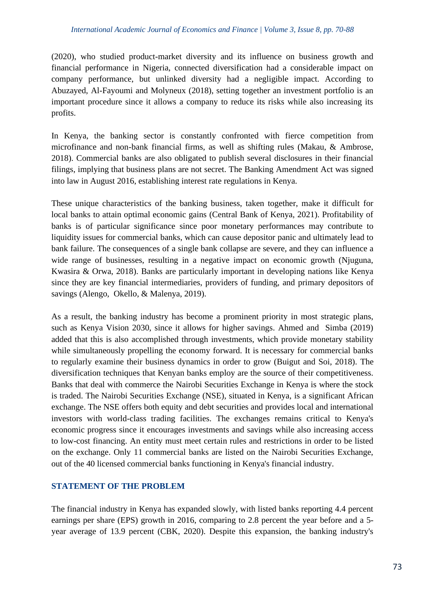(2020), who studied product-market diversity and its influence on business growth and financial performance in Nigeria, connected diversification had a considerable impact on company performance, but unlinked diversity had a negligible impact. According to Abuzayed, Al-Fayoumi and Molyneux (2018), setting together an investment portfolio is an important procedure since it allows a company to reduce its risks while also increasing its profits.

In Kenya, the banking sector is constantly confronted with fierce competition from microfinance and non-bank financial firms, as well as shifting rules (Makau, & Ambrose, 2018). Commercial banks are also obligated to publish several disclosures in their financial filings, implying that business plans are not secret. The Banking Amendment Act was signed into law in August 2016, establishing interest rate regulations in Kenya.

These unique characteristics of the banking business, taken together, make it difficult for local banks to attain optimal economic gains (Central Bank of Kenya, 2021). Profitability of banks is of particular significance since poor monetary performances may contribute to liquidity issues for commercial banks, which can cause depositor panic and ultimately lead to bank failure. The consequences of a single bank collapse are severe, and they can influence a wide range of businesses, resulting in a negative impact on economic growth (Njuguna, Kwasira & Orwa, 2018). Banks are particularly important in developing nations like Kenya since they are key financial intermediaries, providers of funding, and primary depositors of savings (Alengo, Okello, & Malenya, 2019).

As a result, the banking industry has become a prominent priority in most strategic plans, such as Kenya Vision 2030, since it allows for higher savings. Ahmed and Simba (2019) added that this is also accomplished through investments, which provide monetary stability while simultaneously propelling the economy forward. It is necessary for commercial banks to regularly examine their business dynamics in order to grow (Buigut and Soi, 2018). The diversification techniques that Kenyan banks employ are the source of their competitiveness. Banks that deal with commerce the Nairobi Securities Exchange in Kenya is where the stock is traded. The Nairobi Securities Exchange (NSE), situated in Kenya, is a significant African exchange. The NSE offers both equity and debt securities and provides local and international investors with world-class trading facilities. The exchanges remains critical to Kenya's economic progress since it encourages investments and savings while also increasing access to low-cost financing. An entity must meet certain rules and restrictions in order to be listed on the exchange. Only 11 commercial banks are listed on the Nairobi Securities Exchange, out of the 40 licensed commercial banks functioning in Kenya's financial industry.

# **STATEMENT OF THE PROBLEM**

The financial industry in Kenya has expanded slowly, with listed banks reporting 4.4 percent earnings per share (EPS) growth in 2016, comparing to 2.8 percent the year before and a 5 year average of 13.9 percent (CBK, 2020). Despite this expansion, the banking industry's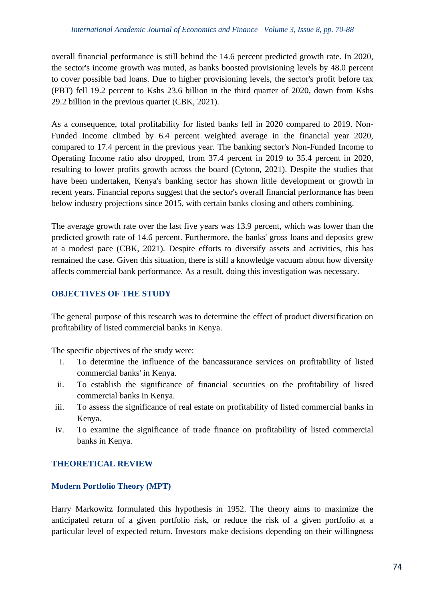overall financial performance is still behind the 14.6 percent predicted growth rate. In 2020, the sector's income growth was muted, as banks boosted provisioning levels by 48.0 percent to cover possible bad loans. Due to higher provisioning levels, the sector's profit before tax (PBT) fell 19.2 percent to Kshs 23.6 billion in the third quarter of 2020, down from Kshs 29.2 billion in the previous quarter (CBK, 2021).

As a consequence, total profitability for listed banks fell in 2020 compared to 2019. Non-Funded Income climbed by 6.4 percent weighted average in the financial year 2020, compared to 17.4 percent in the previous year. The banking sector's Non-Funded Income to Operating Income ratio also dropped, from 37.4 percent in 2019 to 35.4 percent in 2020, resulting to lower profits growth across the board (Cytonn, 2021). Despite the studies that have been undertaken, Kenya's banking sector has shown little development or growth in recent years. Financial reports suggest that the sector's overall financial performance has been below industry projections since 2015, with certain banks closing and others combining.

The average growth rate over the last five years was 13.9 percent, which was lower than the predicted growth rate of 14.6 percent. Furthermore, the banks' gross loans and deposits grew at a modest pace (CBK, 2021). Despite efforts to diversify assets and activities, this has remained the case. Given this situation, there is still a knowledge vacuum about how diversity affects commercial bank performance. As a result, doing this investigation was necessary.

# **OBJECTIVES OF THE STUDY**

The general purpose of this research was to determine the effect of product diversification on profitability of listed commercial banks in Kenya.

The specific objectives of the study were:

- i. To determine the influence of the bancassurance services on profitability of listed commercial banks' in Kenya.
- ii. To establish the significance of financial securities on the profitability of listed commercial banks in Kenya.
- iii. To assess the significance of real estate on profitability of listed commercial banks in Kenya.
- iv. To examine the significance of trade finance on profitability of listed commercial banks in Kenya.

# **THEORETICAL REVIEW**

## **Modern Portfolio Theory (MPT)**

Harry Markowitz formulated this hypothesis in 1952. The theory aims to maximize the anticipated return of a given portfolio risk, or reduce the risk of a given portfolio at a particular level of expected return. Investors make decisions depending on their willingness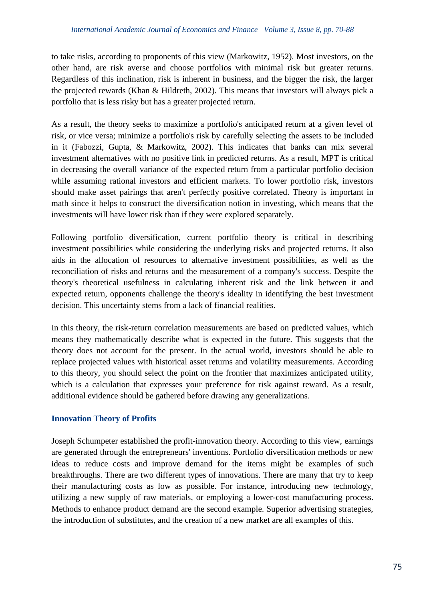to take risks, according to proponents of this view (Markowitz, 1952). Most investors, on the other hand, are risk averse and choose portfolios with minimal risk but greater returns. Regardless of this inclination, risk is inherent in business, and the bigger the risk, the larger the projected rewards (Khan & Hildreth, 2002). This means that investors will always pick a portfolio that is less risky but has a greater projected return.

As a result, the theory seeks to maximize a portfolio's anticipated return at a given level of risk, or vice versa; minimize a portfolio's risk by carefully selecting the assets to be included in it (Fabozzi, Gupta, & Markowitz, 2002). This indicates that banks can mix several investment alternatives with no positive link in predicted returns. As a result, MPT is critical in decreasing the overall variance of the expected return from a particular portfolio decision while assuming rational investors and efficient markets. To lower portfolio risk, investors should make asset pairings that aren't perfectly positive correlated. Theory is important in math since it helps to construct the diversification notion in investing, which means that the investments will have lower risk than if they were explored separately.

Following portfolio diversification, current portfolio theory is critical in describing investment possibilities while considering the underlying risks and projected returns. It also aids in the allocation of resources to alternative investment possibilities, as well as the reconciliation of risks and returns and the measurement of a company's success. Despite the theory's theoretical usefulness in calculating inherent risk and the link between it and expected return, opponents challenge the theory's ideality in identifying the best investment decision. This uncertainty stems from a lack of financial realities.

In this theory, the risk-return correlation measurements are based on predicted values, which means they mathematically describe what is expected in the future. This suggests that the theory does not account for the present. In the actual world, investors should be able to replace projected values with historical asset returns and volatility measurements. According to this theory, you should select the point on the frontier that maximizes anticipated utility, which is a calculation that expresses your preference for risk against reward. As a result, additional evidence should be gathered before drawing any generalizations.

## **Innovation Theory of Profits**

Joseph Schumpeter established the profit-innovation theory. According to this view, earnings are generated through the entrepreneurs' inventions. Portfolio diversification methods or new ideas to reduce costs and improve demand for the items might be examples of such breakthroughs. There are two different types of innovations. There are many that try to keep their manufacturing costs as low as possible. For instance, introducing new technology, utilizing a new supply of raw materials, or employing a lower-cost manufacturing process. Methods to enhance product demand are the second example. Superior advertising strategies, the introduction of substitutes, and the creation of a new market are all examples of this.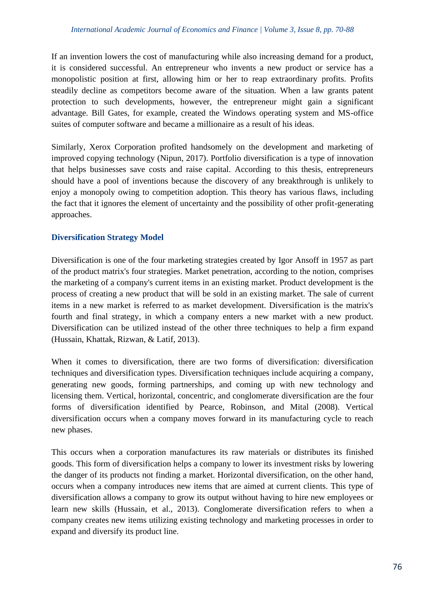If an invention lowers the cost of manufacturing while also increasing demand for a product, it is considered successful. An entrepreneur who invents a new product or service has a monopolistic position at first, allowing him or her to reap extraordinary profits. Profits steadily decline as competitors become aware of the situation. When a law grants patent protection to such developments, however, the entrepreneur might gain a significant advantage. Bill Gates, for example, created the Windows operating system and MS-office suites of computer software and became a millionaire as a result of his ideas.

Similarly, Xerox Corporation profited handsomely on the development and marketing of improved copying technology (Nipun, 2017). Portfolio diversification is a type of innovation that helps businesses save costs and raise capital. According to this thesis, entrepreneurs should have a pool of inventions because the discovery of any breakthrough is unlikely to enjoy a monopoly owing to competition adoption. This theory has various flaws, including the fact that it ignores the element of uncertainty and the possibility of other profit-generating approaches.

## **Diversification Strategy Model**

Diversification is one of the four marketing strategies created by Igor Ansoff in 1957 as part of the product matrix's four strategies. Market penetration, according to the notion, comprises the marketing of a company's current items in an existing market. Product development is the process of creating a new product that will be sold in an existing market. The sale of current items in a new market is referred to as market development. Diversification is the matrix's fourth and final strategy, in which a company enters a new market with a new product. Diversification can be utilized instead of the other three techniques to help a firm expand (Hussain, Khattak, Rizwan, & Latif, 2013).

When it comes to diversification, there are two forms of diversification: diversification techniques and diversification types. Diversification techniques include acquiring a company, generating new goods, forming partnerships, and coming up with new technology and licensing them. Vertical, horizontal, concentric, and conglomerate diversification are the four forms of diversification identified by Pearce, Robinson, and Mital (2008). Vertical diversification occurs when a company moves forward in its manufacturing cycle to reach new phases.

This occurs when a corporation manufactures its raw materials or distributes its finished goods. This form of diversification helps a company to lower its investment risks by lowering the danger of its products not finding a market. Horizontal diversification, on the other hand, occurs when a company introduces new items that are aimed at current clients. This type of diversification allows a company to grow its output without having to hire new employees or learn new skills (Hussain, et al., 2013). Conglomerate diversification refers to when a company creates new items utilizing existing technology and marketing processes in order to expand and diversify its product line.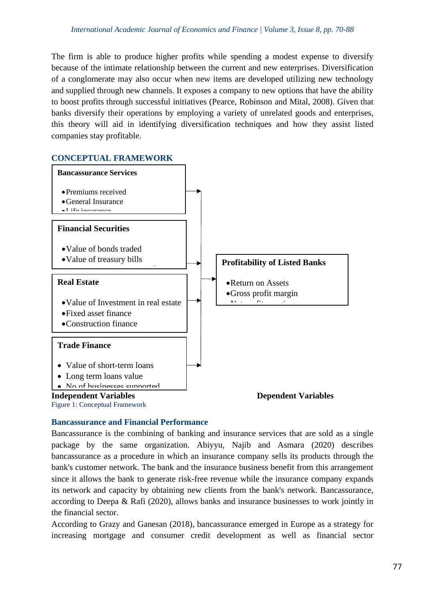The firm is able to produce higher profits while spending a modest expense to diversify because of the intimate relationship between the current and new enterprises. Diversification of a conglomerate may also occur when new items are developed utilizing new technology and supplied through new channels. It exposes a company to new options that have the ability to boost profits through successful initiatives (Pearce, Robinson and Mital, 2008). Given that banks diversify their operations by employing a variety of unrelated goods and enterprises, this theory will aid in identifying diversification techniques and how they assist listed companies stay profitable.

# **CONCEPTUAL FRAMEWORK**



## **Bancassurance and Financial Performance**

Bancassurance is the combining of banking and insurance services that are sold as a single package by the same organization. Abiyyu, Najib and Asmara (2020) describes bancassurance as a procedure in which an insurance company sells its products through the bank's customer network. The bank and the insurance business benefit from this arrangement since it allows the bank to generate risk-free revenue while the insurance company expands its network and capacity by obtaining new clients from the bank's network. Bancassurance, according to Deepa & Rafi (2020), allows banks and insurance businesses to work jointly in the financial sector.

According to Grazy and Ganesan (2018), bancassurance emerged in Europe as a strategy for increasing mortgage and consumer credit development as well as financial sector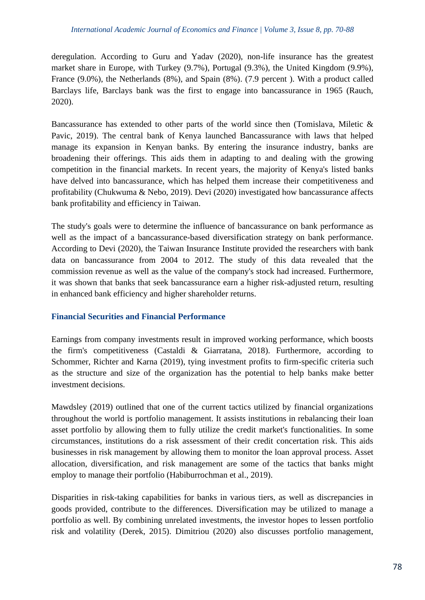deregulation. According to Guru and Yadav (2020), non-life insurance has the greatest market share in Europe, with Turkey (9.7%), Portugal (9.3%), the United Kingdom (9.9%), France (9.0%), the Netherlands (8%), and Spain (8%). (7.9 percent ). With a product called Barclays life, Barclays bank was the first to engage into bancassurance in 1965 (Rauch, 2020).

Bancassurance has extended to other parts of the world since then (Tomislava, Miletic & Pavic, 2019). The central bank of Kenya launched Bancassurance with laws that helped manage its expansion in Kenyan banks. By entering the insurance industry, banks are broadening their offerings. This aids them in adapting to and dealing with the growing competition in the financial markets. In recent years, the majority of Kenya's listed banks have delved into bancassurance, which has helped them increase their competitiveness and profitability (Chukwuma & Nebo, 2019). Devi (2020) investigated how bancassurance affects bank profitability and efficiency in Taiwan.

The study's goals were to determine the influence of bancassurance on bank performance as well as the impact of a bancassurance-based diversification strategy on bank performance. According to Devi (2020), the Taiwan Insurance Institute provided the researchers with bank data on bancassurance from 2004 to 2012. The study of this data revealed that the commission revenue as well as the value of the company's stock had increased. Furthermore, it was shown that banks that seek bancassurance earn a higher risk-adjusted return, resulting in enhanced bank efficiency and higher shareholder returns.

## **Financial Securities and Financial Performance**

Earnings from company investments result in improved working performance, which boosts the firm's competitiveness (Castaldi & Giarratana, 2018). Furthermore, according to Schommer, Richter and Karna (2019), tying investment profits to firm-specific criteria such as the structure and size of the organization has the potential to help banks make better investment decisions.

Mawdsley (2019) outlined that one of the current tactics utilized by financial organizations throughout the world is portfolio management. It assists institutions in rebalancing their loan asset portfolio by allowing them to fully utilize the credit market's functionalities. In some circumstances, institutions do a risk assessment of their credit concertation risk. This aids businesses in risk management by allowing them to monitor the loan approval process. Asset allocation, diversification, and risk management are some of the tactics that banks might employ to manage their portfolio (Habiburrochman et al., 2019).

Disparities in risk-taking capabilities for banks in various tiers, as well as discrepancies in goods provided, contribute to the differences. Diversification may be utilized to manage a portfolio as well. By combining unrelated investments, the investor hopes to lessen portfolio risk and volatility (Derek, 2015). Dimitriou (2020) also discusses portfolio management,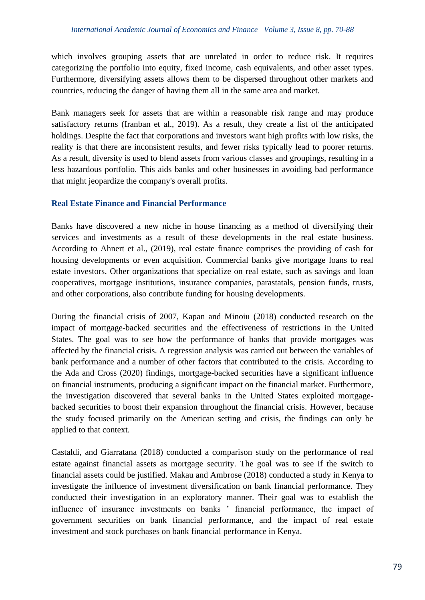which involves grouping assets that are unrelated in order to reduce risk. It requires categorizing the portfolio into equity, fixed income, cash equivalents, and other asset types. Furthermore, diversifying assets allows them to be dispersed throughout other markets and countries, reducing the danger of having them all in the same area and market.

Bank managers seek for assets that are within a reasonable risk range and may produce satisfactory returns (Iranban et al., 2019). As a result, they create a list of the anticipated holdings. Despite the fact that corporations and investors want high profits with low risks, the reality is that there are inconsistent results, and fewer risks typically lead to poorer returns. As a result, diversity is used to blend assets from various classes and groupings, resulting in a less hazardous portfolio. This aids banks and other businesses in avoiding bad performance that might jeopardize the company's overall profits.

## **Real Estate Finance and Financial Performance**

Banks have discovered a new niche in house financing as a method of diversifying their services and investments as a result of these developments in the real estate business. According to Ahnert et al., (2019), real estate finance comprises the providing of cash for housing developments or even acquisition. Commercial banks give mortgage loans to real estate investors. Other organizations that specialize on real estate, such as savings and loan cooperatives, mortgage institutions, insurance companies, parastatals, pension funds, trusts, and other corporations, also contribute funding for housing developments.

During the financial crisis of 2007, Kapan and Minoiu (2018) conducted research on the impact of mortgage-backed securities and the effectiveness of restrictions in the United States. The goal was to see how the performance of banks that provide mortgages was affected by the financial crisis. A regression analysis was carried out between the variables of bank performance and a number of other factors that contributed to the crisis. According to the Ada and Cross (2020) findings, mortgage-backed securities have a significant influence on financial instruments, producing a significant impact on the financial market. Furthermore, the investigation discovered that several banks in the United States exploited mortgagebacked securities to boost their expansion throughout the financial crisis. However, because the study focused primarily on the American setting and crisis, the findings can only be applied to that context.

Castaldi, and Giarratana (2018) conducted a comparison study on the performance of real estate against financial assets as mortgage security. The goal was to see if the switch to financial assets could be justified. Makau and Ambrose (2018) conducted a study in Kenya to investigate the influence of investment diversification on bank financial performance. They conducted their investigation in an exploratory manner. Their goal was to establish the influence of insurance investments on banks ' financial performance, the impact of government securities on bank financial performance, and the impact of real estate investment and stock purchases on bank financial performance in Kenya.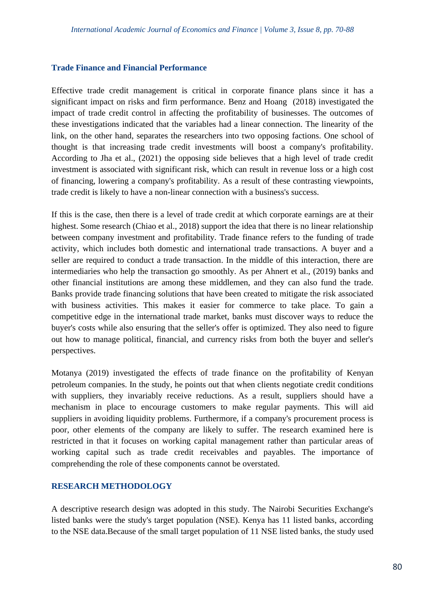#### **Trade Finance and Financial Performance**

Effective trade credit management is critical in corporate finance plans since it has a significant impact on risks and firm performance. Benz and Hoang (2018) investigated the impact of trade credit control in affecting the profitability of businesses. The outcomes of these investigations indicated that the variables had a linear connection. The linearity of the link, on the other hand, separates the researchers into two opposing factions. One school of thought is that increasing trade credit investments will boost a company's profitability. According to Jha et al., (2021) the opposing side believes that a high level of trade credit investment is associated with significant risk, which can result in revenue loss or a high cost of financing, lowering a company's profitability. As a result of these contrasting viewpoints, trade credit is likely to have a non-linear connection with a business's success.

If this is the case, then there is a level of trade credit at which corporate earnings are at their highest. Some research (Chiao et al., 2018) support the idea that there is no linear relationship between company investment and profitability. Trade finance refers to the funding of trade activity, which includes both domestic and international trade transactions. A buyer and a seller are required to conduct a trade transaction. In the middle of this interaction, there are intermediaries who help the transaction go smoothly. As per Ahnert et al., (2019) banks and other financial institutions are among these middlemen, and they can also fund the trade. Banks provide trade financing solutions that have been created to mitigate the risk associated with business activities. This makes it easier for commerce to take place. To gain a competitive edge in the international trade market, banks must discover ways to reduce the buyer's costs while also ensuring that the seller's offer is optimized. They also need to figure out how to manage political, financial, and currency risks from both the buyer and seller's perspectives.

Motanya (2019) investigated the effects of trade finance on the profitability of Kenyan petroleum companies. In the study, he points out that when clients negotiate credit conditions with suppliers, they invariably receive reductions. As a result, suppliers should have a mechanism in place to encourage customers to make regular payments. This will aid suppliers in avoiding liquidity problems. Furthermore, if a company's procurement process is poor, other elements of the company are likely to suffer. The research examined here is restricted in that it focuses on working capital management rather than particular areas of working capital such as trade credit receivables and payables. The importance of comprehending the role of these components cannot be overstated.

## **RESEARCH METHODOLOGY**

A descriptive research design was adopted in this study. The Nairobi Securities Exchange's listed banks were the study's target population (NSE). Kenya has 11 listed banks, according to the NSE data.Because of the small target population of 11 NSE listed banks, the study used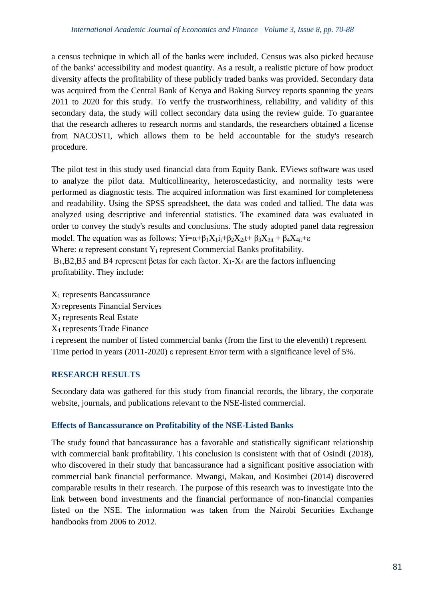a census technique in which all of the banks were included. Census was also picked because of the banks' accessibility and modest quantity. As a result, a realistic picture of how product diversity affects the profitability of these publicly traded banks was provided. Secondary data was acquired from the Central Bank of Kenya and Baking Survey reports spanning the years 2011 to 2020 for this study. To verify the trustworthiness, reliability, and validity of this secondary data, the study will collect secondary data using the review guide. To guarantee that the research adheres to research norms and standards, the researchers obtained a license from NACOSTI, which allows them to be held accountable for the study's research procedure.

The pilot test in this study used financial data from Equity Bank. EViews software was used to analyze the pilot data. Multicollinearity, heteroscedasticity, and normality tests were performed as diagnostic tests. The acquired information was first examined for completeness and readability. Using the SPSS spreadsheet, the data was coded and tallied. The data was analyzed using descriptive and inferential statistics. The examined data was evaluated in order to convey the study's results and conclusions. The study adopted panel data regression model. The equation was as follows;  $Yi = \alpha + \beta_1 X_1i_t + \beta_2 X_2i_t + \beta_3 X_3i_t + \beta_4 X_4i_t + \epsilon$ Where:  $\alpha$  represent constant Y<sub>i</sub> represent Commercial Banks profitability.

 $B_1$ ,  $B_2$ ,  $B_3$  and  $B_4$  represent  $\beta$  etas for each factor.  $X_1$ - $X_4$  are the factors influencing profitability. They include:

X<sup>1</sup> represents Bancassurance  $X<sub>2</sub>$  represents Financial Services X<sup>3</sup> represents Real Estate X<sup>4</sup> represents Trade Finance i represent the number of listed commercial banks (from the first to the eleventh) t represent Time period in years (2011-2020)  $\varepsilon$  represent Error term with a significance level of 5%.

## **RESEARCH RESULTS**

Secondary data was gathered for this study from financial records, the library, the corporate website, journals, and publications relevant to the NSE-listed commercial.

## **Effects of Bancassurance on Profitability of the NSE-Listed Banks**

The study found that bancassurance has a favorable and statistically significant relationship with commercial bank profitability. This conclusion is consistent with that of Osindi (2018), who discovered in their study that bancassurance had a significant positive association with commercial bank financial performance. Mwangi, Makau, and Kosimbei (2014) discovered comparable results in their research. The purpose of this research was to investigate into the link between bond investments and the financial performance of non-financial companies listed on the NSE. The information was taken from the Nairobi Securities Exchange handbooks from 2006 to 2012.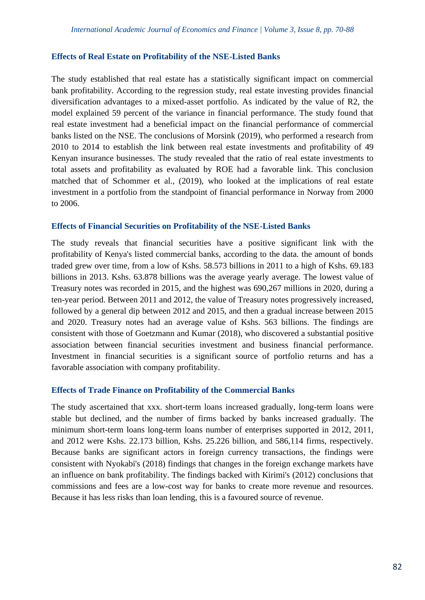#### **Effects of Real Estate on Profitability of the NSE-Listed Banks**

The study established that real estate has a statistically significant impact on commercial bank profitability. According to the regression study, real estate investing provides financial diversification advantages to a mixed-asset portfolio. As indicated by the value of R2, the model explained 59 percent of the variance in financial performance. The study found that real estate investment had a beneficial impact on the financial performance of commercial banks listed on the NSE. The conclusions of Morsink (2019), who performed a research from 2010 to 2014 to establish the link between real estate investments and profitability of 49 Kenyan insurance businesses. The study revealed that the ratio of real estate investments to total assets and profitability as evaluated by ROE had a favorable link. This conclusion matched that of Schommer et al., (2019), who looked at the implications of real estate investment in a portfolio from the standpoint of financial performance in Norway from 2000 to 2006.

#### **Effects of Financial Securities on Profitability of the NSE-Listed Banks**

The study reveals that financial securities have a positive significant link with the profitability of Kenya's listed commercial banks, according to the data. the amount of bonds traded grew over time, from a low of Kshs. 58.573 billions in 2011 to a high of Kshs. 69.183 billions in 2013. Kshs. 63.878 billions was the average yearly average. The lowest value of Treasury notes was recorded in 2015, and the highest was 690,267 millions in 2020, during a ten-year period. Between 2011 and 2012, the value of Treasury notes progressively increased, followed by a general dip between 2012 and 2015, and then a gradual increase between 2015 and 2020. Treasury notes had an average value of Kshs. 563 billions. The findings are consistent with those of Goetzmann and Kumar (2018), who discovered a substantial positive association between financial securities investment and business financial performance. Investment in financial securities is a significant source of portfolio returns and has a favorable association with company profitability.

#### **Effects of Trade Finance on Profitability of the Commercial Banks**

The study ascertained that xxx. short-term loans increased gradually, long-term loans were stable but declined, and the number of firms backed by banks increased gradually. The minimum short-term loans long-term loans number of enterprises supported in 2012, 2011, and 2012 were Kshs. 22.173 billion, Kshs. 25.226 billion, and 586,114 firms, respectively. Because banks are significant actors in foreign currency transactions, the findings were consistent with Nyokabi's (2018) findings that changes in the foreign exchange markets have an influence on bank profitability. The findings backed with Kirimi's (2012) conclusions that commissions and fees are a low-cost way for banks to create more revenue and resources. Because it has less risks than loan lending, this is a favoured source of revenue.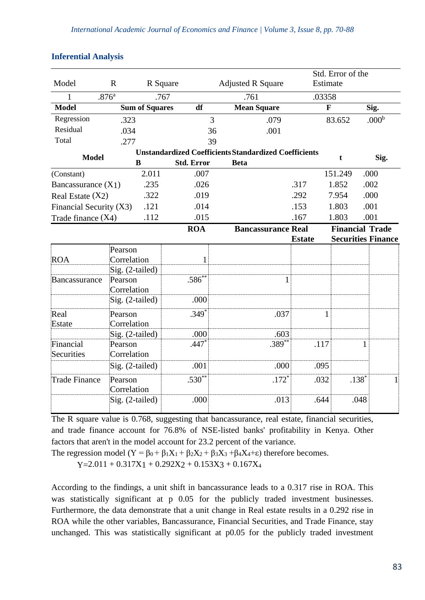|                                   |                         |                                                              |                   |                          |                           |               | Std. Error of the      |                           |  |
|-----------------------------------|-------------------------|--------------------------------------------------------------|-------------------|--------------------------|---------------------------|---------------|------------------------|---------------------------|--|
| Model                             | $\mathbf R$<br>R Square |                                                              |                   | <b>Adjusted R Square</b> |                           | Estimate      |                        |                           |  |
| 1                                 | .876 <sup>a</sup>       | .767                                                         |                   | .761                     |                           |               | .03358                 |                           |  |
| <b>Model</b>                      | <b>Sum of Squares</b>   |                                                              | df                |                          | <b>Mean Square</b>        |               | $\mathbf{F}$           | Sig.                      |  |
| Regression                        | .323                    |                                                              |                   | 3                        | .079                      |               | 83.652                 | .000 <sup>b</sup>         |  |
| Residual                          | .034                    |                                                              |                   | 36                       | .001                      |               |                        |                           |  |
| Total                             | .277                    |                                                              |                   | 39                       |                           |               |                        |                           |  |
| <b>Model</b>                      |                         | <b>Unstandardized Coefficients Standardized Coefficients</b> |                   |                          |                           |               | t                      | Sig.                      |  |
|                                   |                         | $\bf{B}$                                                     | <b>Std. Error</b> | <b>Beta</b>              |                           |               |                        |                           |  |
| (Constant)                        |                         | 2.011                                                        | .007              |                          |                           |               | 151.249                | .000                      |  |
| Bancassurance $(X1)$              |                         | .235                                                         | .026              |                          |                           | .317          | 1.852                  | .002                      |  |
| .322<br>Real Estate (X2)          |                         | .019                                                         |                   |                          | .292                      | 7.954         | .000                   |                           |  |
| .121<br>Financial Security $(X3)$ |                         | .014                                                         |                   |                          | .153                      | 1.803         | .001                   |                           |  |
| .112<br>Trade finance (X4)        |                         |                                                              | .015              |                          |                           | .167          | 1.803                  | .001                      |  |
|                                   |                         |                                                              | <b>ROA</b>        |                          | <b>Bancassurance Real</b> |               | <b>Financial Trade</b> |                           |  |
|                                   |                         |                                                              |                   |                          |                           | <b>Estate</b> |                        | <b>Securities Finance</b> |  |
|                                   | Pearson                 |                                                              |                   |                          |                           |               |                        |                           |  |
| <b>ROA</b>                        |                         | Correlation                                                  | 1                 |                          |                           |               |                        |                           |  |
|                                   |                         | Sig. (2-tailed)                                              |                   |                          |                           |               |                        |                           |  |
| Bancassurance                     | Pearson                 | Correlation                                                  | $.586***$         |                          | $\mathbf{1}$              |               |                        |                           |  |
|                                   |                         | Sig. (2-tailed)                                              | .000              |                          |                           |               |                        |                           |  |
| Real                              | Pearson<br>Correlation  |                                                              | $.349*$           |                          | .037                      | $\mathbf{1}$  |                        |                           |  |
| Estate                            |                         |                                                              | .000              |                          | .603                      |               |                        |                           |  |
| Financial                         |                         | Sig. (2-tailed)                                              | $.447*$           |                          | $.389***$                 | .117          |                        | 1                         |  |
| Securities                        | Pearson<br>Correlation  |                                                              |                   |                          |                           |               |                        |                           |  |
|                                   |                         | Sig. (2-tailed)                                              | .001              |                          | .000                      | .095          |                        |                           |  |
| <b>Trade Finance</b>              | Pearson                 | Correlation                                                  | $.530**$          |                          | $.172*$                   | .032          | $.138*$                | $\mathbf{1}$              |  |
|                                   |                         | Sig. (2-tailed)                                              | .000              |                          | .013                      | .644          | .048                   |                           |  |

#### **Inferential Analysis**

The R square value is 0.768, suggesting that bancassurance, real estate, financial securities, and trade finance account for 76.8% of NSE-listed banks' profitability in Kenya. Other factors that aren't in the model account for 23.2 percent of the variance.

The regression model (Y =  $\beta_0 + \beta_1 X_1 + \beta_2 X_2 + \beta_3 X_3 + \beta_4 X_4 + \epsilon$ ) therefore becomes.

 $Y=2.011 + 0.317X1 + 0.292X2 + 0.153X3 + 0.167X4$ 

According to the findings, a unit shift in bancassurance leads to a 0.317 rise in ROA. This was statistically significant at p 0.05 for the publicly traded investment businesses. Furthermore, the data demonstrate that a unit change in Real estate results in a 0.292 rise in ROA while the other variables, Bancassurance, Financial Securities, and Trade Finance, stay unchanged. This was statistically significant at p0.05 for the publicly traded investment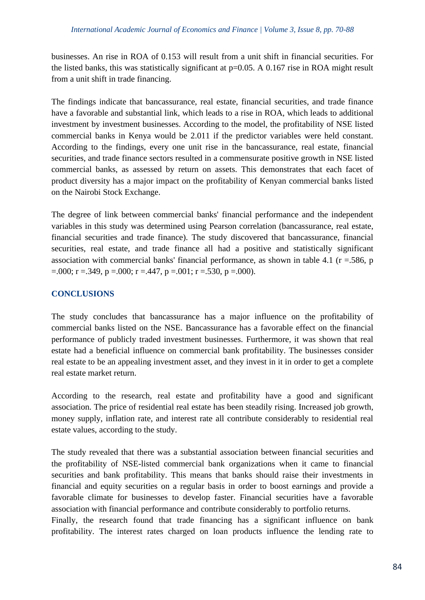businesses. An rise in ROA of 0.153 will result from a unit shift in financial securities. For the listed banks, this was statistically significant at  $p=0.05$ . A 0.167 rise in ROA might result from a unit shift in trade financing.

The findings indicate that bancassurance, real estate, financial securities, and trade finance have a favorable and substantial link, which leads to a rise in ROA, which leads to additional investment by investment businesses. According to the model, the profitability of NSE listed commercial banks in Kenya would be 2.011 if the predictor variables were held constant. According to the findings, every one unit rise in the bancassurance, real estate, financial securities, and trade finance sectors resulted in a commensurate positive growth in NSE listed commercial banks, as assessed by return on assets. This demonstrates that each facet of product diversity has a major impact on the profitability of Kenyan commercial banks listed on the Nairobi Stock Exchange.

The degree of link between commercial banks' financial performance and the independent variables in this study was determined using Pearson correlation (bancassurance, real estate, financial securities and trade finance). The study discovered that bancassurance, financial securities, real estate, and trade finance all had a positive and statistically significant association with commercial banks' financial performance, as shown in table 4.1 ( $r = .586$ ,  $p = .586$ )  $=$ .000; r =.349, p =.000; r =.447, p =.001; r =.530, p =.000).

# **CONCLUSIONS**

The study concludes that bancassurance has a major influence on the profitability of commercial banks listed on the NSE. Bancassurance has a favorable effect on the financial performance of publicly traded investment businesses. Furthermore, it was shown that real estate had a beneficial influence on commercial bank profitability. The businesses consider real estate to be an appealing investment asset, and they invest in it in order to get a complete real estate market return.

According to the research, real estate and profitability have a good and significant association. The price of residential real estate has been steadily rising. Increased job growth, money supply, inflation rate, and interest rate all contribute considerably to residential real estate values, according to the study.

The study revealed that there was a substantial association between financial securities and the profitability of NSE-listed commercial bank organizations when it came to financial securities and bank profitability. This means that banks should raise their investments in financial and equity securities on a regular basis in order to boost earnings and provide a favorable climate for businesses to develop faster. Financial securities have a favorable association with financial performance and contribute considerably to portfolio returns.

Finally, the research found that trade financing has a significant influence on bank profitability. The interest rates charged on loan products influence the lending rate to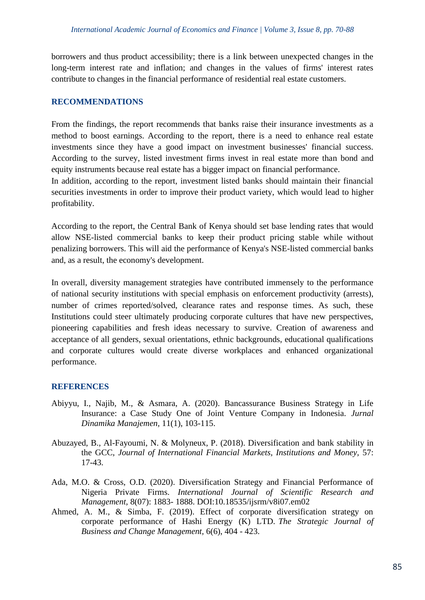borrowers and thus product accessibility; there is a link between unexpected changes in the long-term interest rate and inflation; and changes in the values of firms' interest rates contribute to changes in the financial performance of residential real estate customers.

#### **RECOMMENDATIONS**

From the findings, the report recommends that banks raise their insurance investments as a method to boost earnings. According to the report, there is a need to enhance real estate investments since they have a good impact on investment businesses' financial success. According to the survey, listed investment firms invest in real estate more than bond and equity instruments because real estate has a bigger impact on financial performance.

In addition, according to the report, investment listed banks should maintain their financial securities investments in order to improve their product variety, which would lead to higher profitability.

According to the report, the Central Bank of Kenya should set base lending rates that would allow NSE-listed commercial banks to keep their product pricing stable while without penalizing borrowers. This will aid the performance of Kenya's NSE-listed commercial banks and, as a result, the economy's development.

In overall, diversity management strategies have contributed immensely to the performance of national security institutions with special emphasis on enforcement productivity (arrests), number of crimes reported/solved, clearance rates and response times. As such, these Institutions could steer ultimately producing corporate cultures that have new perspectives, pioneering capabilities and fresh ideas necessary to survive. Creation of awareness and acceptance of all genders, sexual orientations, ethnic backgrounds, educational qualifications and corporate cultures would create diverse workplaces and enhanced organizational performance.

#### **REFERENCES**

- Abiyyu, I., Najib, M., & Asmara, A. (2020). Bancassurance Business Strategy in Life Insurance: a Case Study One of Joint Venture Company in Indonesia. *Jurnal Dinamika Manajemen,* 11(1), 103-115.
- Abuzayed, B., Al-Fayoumi, N. & Molyneux, P. (2018). Diversification and bank stability in the GCC, *Journal of International Financial Markets, Institutions and Money,* 57: 17-43.
- Ada, M.O. & Cross, O.D. (2020). Diversification Strategy and Financial Performance of Nigeria Private Firms. *International Journal of Scientific Research and Management,* 8(07): 1883- 1888. DOI:10.18535/ijsrm/v8i07.em02
- Ahmed, A. M., & Simba, F. (2019). Effect of corporate diversification strategy on corporate performance of Hashi Energy (K) LTD. *The Strategic Journal of Business and Change Management,* 6(6), 404 - 423.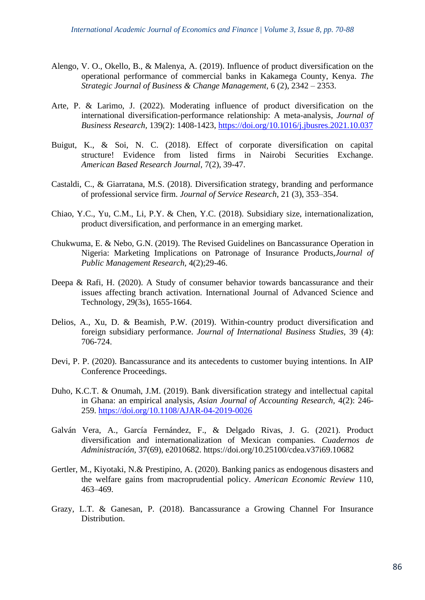- Alengo, V. O., Okello, B., & Malenya, A. (2019). Influence of product diversification on the operational performance of commercial banks in Kakamega County, Kenya. *The Strategic Journal of Business & Change Management,* 6 (2), 2342 – 2353.
- Arte, P. & Larimo, J. (2022). Moderating influence of product diversification on the international diversification-performance relationship: A meta-analysis, *Journal of Business Research,* 139(2): 1408-1423,<https://doi.org/10.1016/j.jbusres.2021.10.037>
- Buigut, K., & Soi, N. C. (2018). Effect of corporate diversification on capital structure! Evidence from listed firms in Nairobi Securities Exchange. *American Based Research Journal,* 7(2), 39-47.
- Castaldi, C., & Giarratana, M.S. (2018). Diversification strategy, branding and performance of professional service firm. *Journal of Service Research,* 21 (3), 353–354.
- Chiao, Y.C., Yu, C.M., Li, P.Y. & Chen, Y.C. (2018). Subsidiary size, internationalization, product diversification, and performance in an emerging market.
- Chukwuma, E. & Nebo, G.N. (2019). The Revised Guidelines on Bancassurance Operation in Nigeria: Marketing Implications on Patronage of Insurance Products,*Journal of Public Management Research,* 4(2);29-46.
- Deepa & Rafi, H. (2020). A Study of consumer behavior towards bancassurance and their issues affecting branch activation. International Journal of Advanced Science and Technology, 29(3s), 1655-1664.
- Delios, A., Xu, D. & Beamish, P.W. (2019). Within-country product diversification and foreign subsidiary performance. *Journal of International Business Studies,* 39 (4): 706-724.
- Devi, P. P. (2020). Bancassurance and its antecedents to customer buying intentions. In AIP Conference Proceedings.
- Duho, K.C.T. & Onumah, J.M. (2019). Bank diversification strategy and intellectual capital in Ghana: an empirical analysis, *Asian Journal of Accounting Research,* 4(2): 246- 259.<https://doi.org/10.1108/AJAR-04-2019-0026>
- Galván Vera, A., García Fernández, F., & Delgado Rivas, J. G. (2021). Product diversification and internationalization of Mexican companies. *Cuadernos de Administración,* 37(69), e2010682. https://doi.org/10.25100/cdea.v37i69.10682
- Gertler, M., Kiyotaki, N.& Prestipino, A. (2020). Banking panics as endogenous disasters and the welfare gains from macroprudential policy. *American Economic Review* 110, 463–469.
- Grazy, L.T. & Ganesan, P. (2018). Bancassurance a Growing Channel For Insurance Distribution.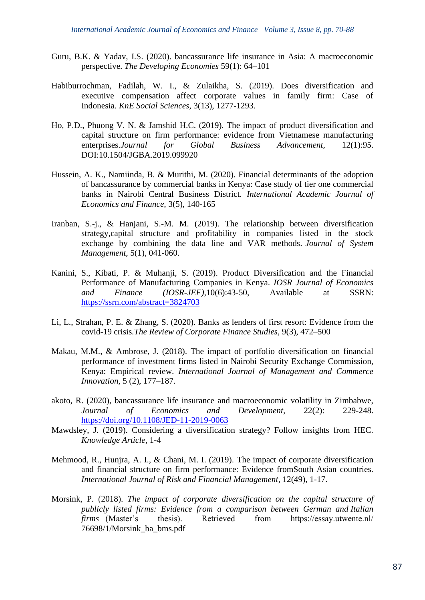- Guru, B.K. & Yadav, I.S. (2020). bancassurance life insurance in Asia: A macroeconomic perspective. *The Developing Economies* 59(1): 64–101
- Habiburrochman, Fadilah, W. I., & Zulaikha, S. (2019). Does diversification and executive compensation affect corporate values in family firm: Case of Indonesia. *KnE Social Sciences,* 3(13), 1277-1293.
- Ho, P.D., Phuong V. N. & Jamshid H.C. (2019). The impact of product diversification and capital structure on firm performance: evidence from Vietnamese manufacturing enterprises.*Journal for Global Business Advancement,* 12(1):95. DOI:10.1504/JGBA.2019.099920
- Hussein, A. K., Namiinda, B. & Murithi, M. (2020). Financial determinants of the adoption of bancassurance by commercial banks in Kenya: Case study of tier one commercial banks in Nairobi Central Business District. *International Academic Journal of Economics and Finance,* 3(5), 140-165
- Iranban, S.-j., & Hanjani, S.-M. M. (2019). The relationship between diversification strategy,capital structure and profitability in companies listed in the stock exchange by combining the data line and VAR methods. *Journal of System Management,* 5(1), 041-060.
- Kanini, S., Kibati, P. & Muhanji, S. (2019). Product Diversification and the Financial Performance of Manufacturing Companies in Kenya. *IOSR Journal of Economics and Finance (IOSR-JEF),*10(6):43-50, Available at SSRN: <https://ssrn.com/abstract=3824703>
- Li, L., Strahan, P. E. & Zhang, S. (2020). Banks as lenders of first resort: Evidence from the covid-19 crisis*.The Review of Corporate Finance Studies,* 9(3), 472–500
- Makau, M.M., & Ambrose, J. (2018). The impact of portfolio diversification on financial performance of investment firms listed in Nairobi Security Exchange Commission, Kenya: Empirical review. *International Journal of Management and Commerce Innovation,* 5 (2), 177–187.
- akoto, R. (2020), bancassurance life insurance and macroeconomic volatility in Zimbabwe, *Journal of Economics and Development,* 22(2): 229-248. <https://doi.org/10.1108/JED-11-2019-0063>
- Mawdsley, J. (2019). Considering a diversification strategy? Follow insights from HEC. *Knowledge Article*, 1-4
- Mehmood, R., Hunjra, A. I., & Chani, M. I. (2019). The impact of corporate diversification and financial structure on firm performance: Evidence fromSouth Asian countries. *International Journal of Risk and Financial Management,* 12(49), 1-17.
- Morsink, P. (2018). *The impact of corporate diversification on the capital structure of publicly listed firms: Evidence from a comparison between German and Italian firms* (Master's thesis). Retrieved from https://essay.utwente.nl/ 76698/1/Morsink\_ba\_bms.pdf